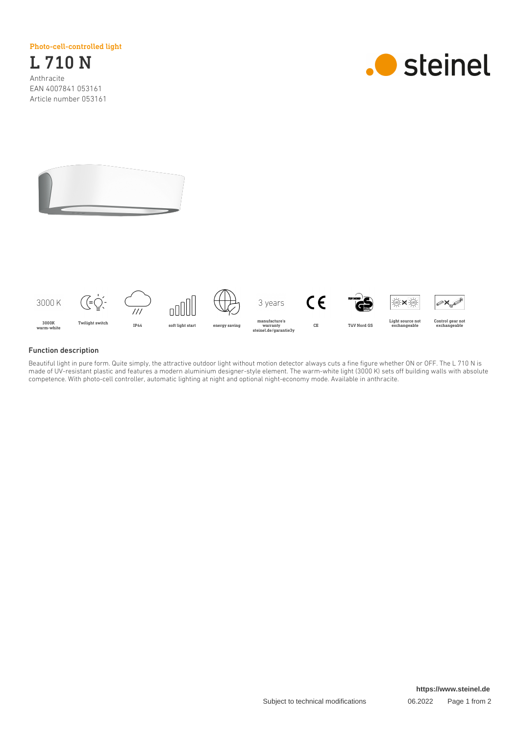Photo-cell-controlled light

L 710 N Anthracite EAN 4007841 053161 Article number 053161







## Function description

Beautiful light in pure form. Quite simply, the attractive outdoor light without motion detector always cuts a fine figure whether ON or OFF. The L 710 N is made of UV-resistant plastic and features a modern aluminium designer-style element. The warm-white light (3000 K) sets off building walls with absolute competence. With photo-cell controller, automatic lighting at night and optional night-economy mode. Available in anthracite.